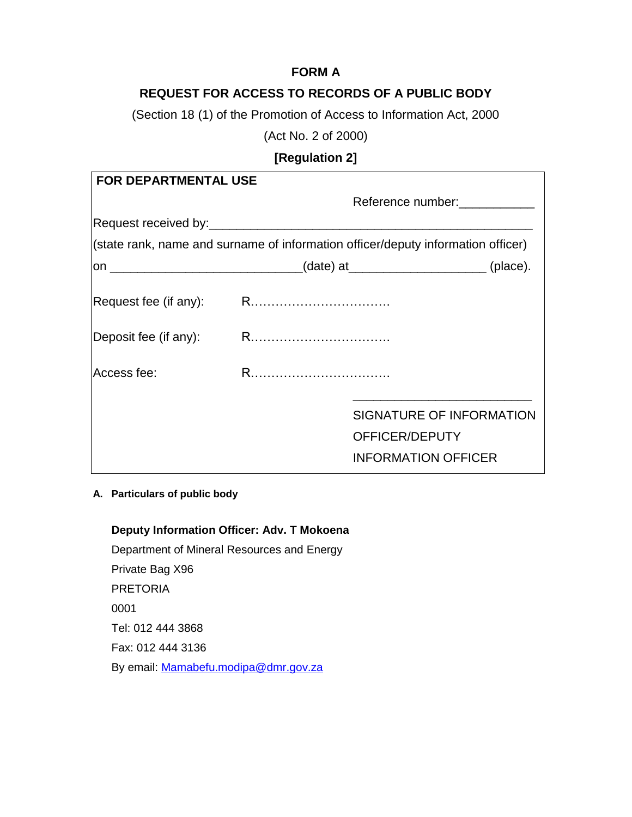## **FORM A**

# **REQUEST FOR ACCESS TO RECORDS OF A PUBLIC BODY**

(Section 18 (1) of the Promotion of Access to Information Act, 2000

(Act No. 2 of 2000)

# **[Regulation 2]**

| <b>FOR DEPARTMENTAL USE</b>                                                      |                                                                           |  |  |  |  |  |  |  |
|----------------------------------------------------------------------------------|---------------------------------------------------------------------------|--|--|--|--|--|--|--|
|                                                                                  | Reference number:<br><u> </u>                                             |  |  |  |  |  |  |  |
|                                                                                  |                                                                           |  |  |  |  |  |  |  |
| (state rank, name and surname of information officer/deputy information officer) |                                                                           |  |  |  |  |  |  |  |
|                                                                                  | on _______________________________(date) at _____________________(place). |  |  |  |  |  |  |  |
| Request fee (if any):                                                            |                                                                           |  |  |  |  |  |  |  |
| Deposit fee (if any):                                                            |                                                                           |  |  |  |  |  |  |  |
| Access fee:                                                                      |                                                                           |  |  |  |  |  |  |  |
|                                                                                  | SIGNATURE OF INFORMATION<br>OFFICER/DEPUTY<br><b>INFORMATION OFFICER</b>  |  |  |  |  |  |  |  |

**A. Particulars of public body**

## **Deputy Information Officer: Adv. T Mokoena**

Department of Mineral Resources and Energy Private Bag X96 PRETORIA 0001 Tel: 012 444 3868 Fax: 012 444 3136 By email: [Mamabefu.modipa@dmr.gov.za](mailto:Mamabefu.modipa@dmr.gov.za)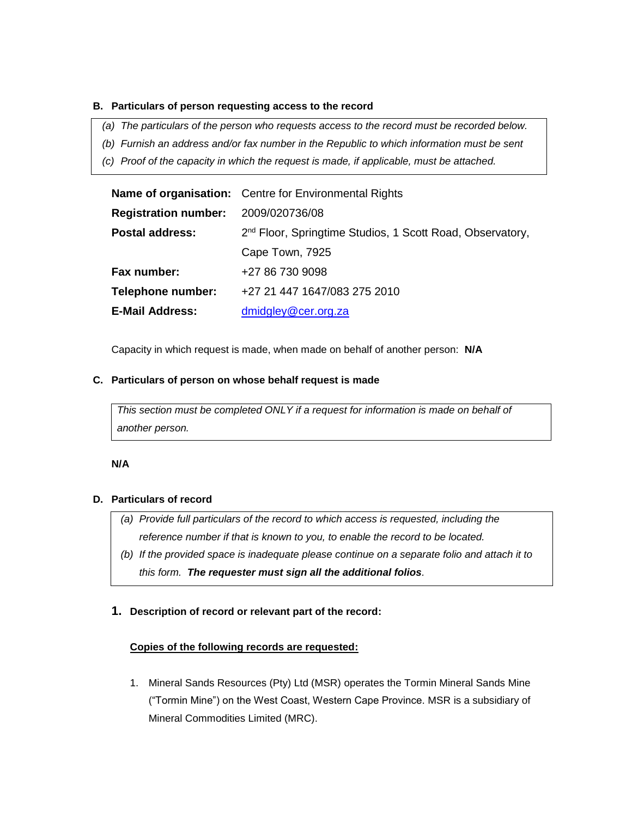#### **B. Particulars of person requesting access to the record**

- *(a) The particulars of the person who requests access to the record must be recorded below.*
- *(b) Furnish an address and/or fax number in the Republic to which information must be sent*
- *(c) Proof of the capacity in which the request is made, if applicable, must be attached.*

|                                            | Name of organisation: Centre for Environmental Rights                 |
|--------------------------------------------|-----------------------------------------------------------------------|
| <b>Registration number: 2009/020736/08</b> |                                                                       |
| <b>Postal address:</b>                     | 2 <sup>nd</sup> Floor, Springtime Studios, 1 Scott Road, Observatory, |
|                                            | Cape Town, 7925                                                       |
| Fax number:                                | +27 86 730 9098                                                       |
| Telephone number:                          | +27 21 447 1647/083 275 2010                                          |
| <b>E-Mail Address:</b>                     | dmidgley@cer.org.za                                                   |

Capacity in which request is made, when made on behalf of another person: **N/A**

#### **C. Particulars of person on whose behalf request is made**

*This section must be completed ONLY if a request for information is made on behalf of another person.* 

#### **N/A**

### **D. Particulars of record**

- *(a) Provide full particulars of the record to which access is requested, including the reference number if that is known to you, to enable the record to be located.*
- *(b) If the provided space is inadequate please continue on a separate folio and attach it to this form. The requester must sign all the additional folios.*
- **1. Description of record or relevant part of the record:**

### **Copies of the following records are requested:**

1. Mineral Sands Resources (Pty) Ltd (MSR) operates the Tormin Mineral Sands Mine ("Tormin Mine") on the West Coast, Western Cape Province. MSR is a subsidiary of Mineral Commodities Limited (MRC).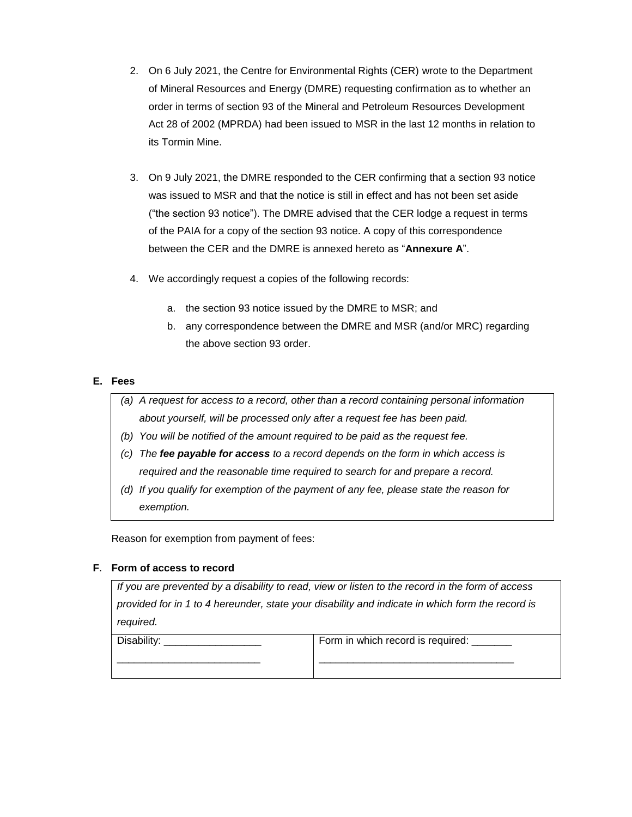- 2. On 6 July 2021, the Centre for Environmental Rights (CER) wrote to the Department of Mineral Resources and Energy (DMRE) requesting confirmation as to whether an order in terms of section 93 of the Mineral and Petroleum Resources Development Act 28 of 2002 (MPRDA) had been issued to MSR in the last 12 months in relation to its Tormin Mine.
- 3. On 9 July 2021, the DMRE responded to the CER confirming that a section 93 notice was issued to MSR and that the notice is still in effect and has not been set aside ("the section 93 notice"). The DMRE advised that the CER lodge a request in terms of the PAIA for a copy of the section 93 notice. A copy of this correspondence between the CER and the DMRE is annexed hereto as "**Annexure A**".
- 4. We accordingly request a copies of the following records:
	- a. the section 93 notice issued by the DMRE to MSR; and
	- b. any correspondence between the DMRE and MSR (and/or MRC) regarding the above section 93 order.

## **E. Fees**

- *(a) A request for access to a record, other than a record containing personal information about yourself, will be processed only after a request fee has been paid.*
- *(b) You will be notified of the amount required to be paid as the request fee.*
- *(c) The fee payable for access to a record depends on the form in which access is required and the reasonable time required to search for and prepare a record.*
- *(d) If you qualify for exemption of the payment of any fee, please state the reason for exemption.*

Reason for exemption from payment of fees:

### **F**. **Form of access to record**

*If you are prevented by a disability to read, view or listen to the record in the form of access provided for in 1 to 4 hereunder, state your disability and indicate in which form the record is required.* 

| Disability: | Form in which record is required: |
|-------------|-----------------------------------|
|             |                                   |
|             |                                   |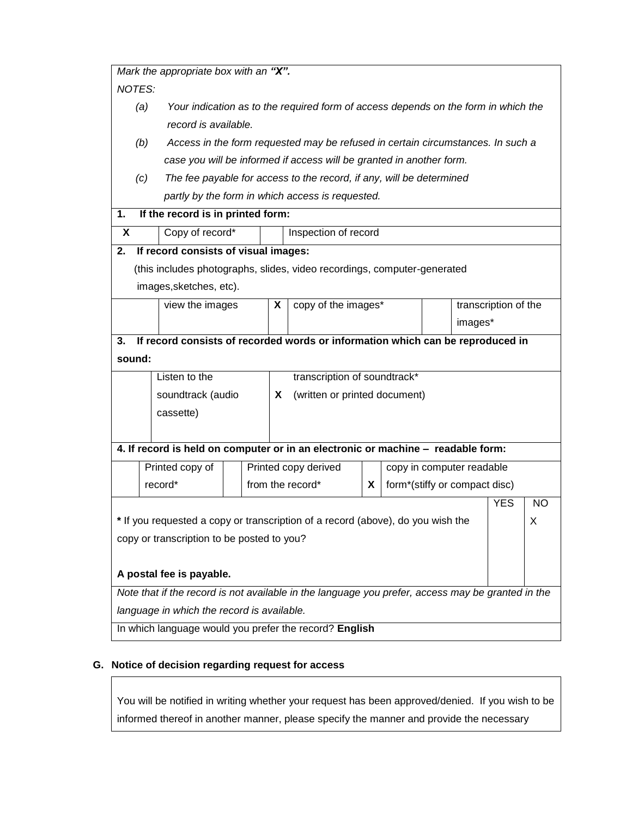|                                                                                                   | Mark the appropriate box with an "X".                                              |  |                                                                                  |                                     |                           |         |            |           |  |  |  |
|---------------------------------------------------------------------------------------------------|------------------------------------------------------------------------------------|--|----------------------------------------------------------------------------------|-------------------------------------|---------------------------|---------|------------|-----------|--|--|--|
| <b>NOTES:</b>                                                                                     |                                                                                    |  |                                                                                  |                                     |                           |         |            |           |  |  |  |
| (a)                                                                                               | Your indication as to the required form of access depends on the form in which the |  |                                                                                  |                                     |                           |         |            |           |  |  |  |
|                                                                                                   | record is available.                                                               |  |                                                                                  |                                     |                           |         |            |           |  |  |  |
| (b)                                                                                               | Access in the form requested may be refused in certain circumstances. In such a    |  |                                                                                  |                                     |                           |         |            |           |  |  |  |
|                                                                                                   | case you will be informed if access will be granted in another form.               |  |                                                                                  |                                     |                           |         |            |           |  |  |  |
| (c)<br>The fee payable for access to the record, if any, will be determined                       |                                                                                    |  |                                                                                  |                                     |                           |         |            |           |  |  |  |
| partly by the form in which access is requested.                                                  |                                                                                    |  |                                                                                  |                                     |                           |         |            |           |  |  |  |
| 1.                                                                                                | If the record is in printed form:                                                  |  |                                                                                  |                                     |                           |         |            |           |  |  |  |
| X                                                                                                 | Copy of record*                                                                    |  | Inspection of record                                                             |                                     |                           |         |            |           |  |  |  |
| 2.                                                                                                | If record consists of visual images:                                               |  |                                                                                  |                                     |                           |         |            |           |  |  |  |
| (this includes photographs, slides, video recordings, computer-generated                          |                                                                                    |  |                                                                                  |                                     |                           |         |            |           |  |  |  |
| images, sketches, etc).                                                                           |                                                                                    |  |                                                                                  |                                     |                           |         |            |           |  |  |  |
|                                                                                                   | copy of the images*<br>view the images<br>X                                        |  |                                                                                  |                                     | transcription of the      |         |            |           |  |  |  |
|                                                                                                   |                                                                                    |  |                                                                                  |                                     |                           | images* |            |           |  |  |  |
| 3.                                                                                                |                                                                                    |  | If record consists of recorded words or information which can be reproduced in   |                                     |                           |         |            |           |  |  |  |
| sound:                                                                                            |                                                                                    |  |                                                                                  |                                     |                           |         |            |           |  |  |  |
|                                                                                                   | Listen to the                                                                      |  | transcription of soundtrack*                                                     |                                     |                           |         |            |           |  |  |  |
|                                                                                                   | soundtrack (audio                                                                  |  | (written or printed document)<br>X.                                              |                                     |                           |         |            |           |  |  |  |
|                                                                                                   | cassette)                                                                          |  |                                                                                  |                                     |                           |         |            |           |  |  |  |
|                                                                                                   |                                                                                    |  |                                                                                  |                                     |                           |         |            |           |  |  |  |
|                                                                                                   |                                                                                    |  | 4. If record is held on computer or in an electronic or machine - readable form: |                                     |                           |         |            |           |  |  |  |
|                                                                                                   | Printed copy of                                                                    |  | Printed copy derived                                                             |                                     | copy in computer readable |         |            |           |  |  |  |
| record*                                                                                           |                                                                                    |  | from the record*                                                                 | form*(stiffy or compact disc)<br>X. |                           |         |            |           |  |  |  |
|                                                                                                   |                                                                                    |  |                                                                                  |                                     |                           |         | <b>YES</b> | <b>NO</b> |  |  |  |
|                                                                                                   | * If you requested a copy or transcription of a record (above), do you wish the    |  |                                                                                  |                                     |                           |         |            | X         |  |  |  |
| copy or transcription to be posted to you?                                                        |                                                                                    |  |                                                                                  |                                     |                           |         |            |           |  |  |  |
|                                                                                                   |                                                                                    |  |                                                                                  |                                     |                           |         |            |           |  |  |  |
| A postal fee is payable.                                                                          |                                                                                    |  |                                                                                  |                                     |                           |         |            |           |  |  |  |
| Note that if the record is not available in the language you prefer, access may be granted in the |                                                                                    |  |                                                                                  |                                     |                           |         |            |           |  |  |  |
| language in which the record is available.                                                        |                                                                                    |  |                                                                                  |                                     |                           |         |            |           |  |  |  |
| In which language would you prefer the record? English                                            |                                                                                    |  |                                                                                  |                                     |                           |         |            |           |  |  |  |
|                                                                                                   |                                                                                    |  |                                                                                  |                                     |                           |         |            |           |  |  |  |

## **G. Notice of decision regarding request for access**

You will be notified in writing whether your request has been approved/denied. If you wish to be informed thereof in another manner, please specify the manner and provide the necessary